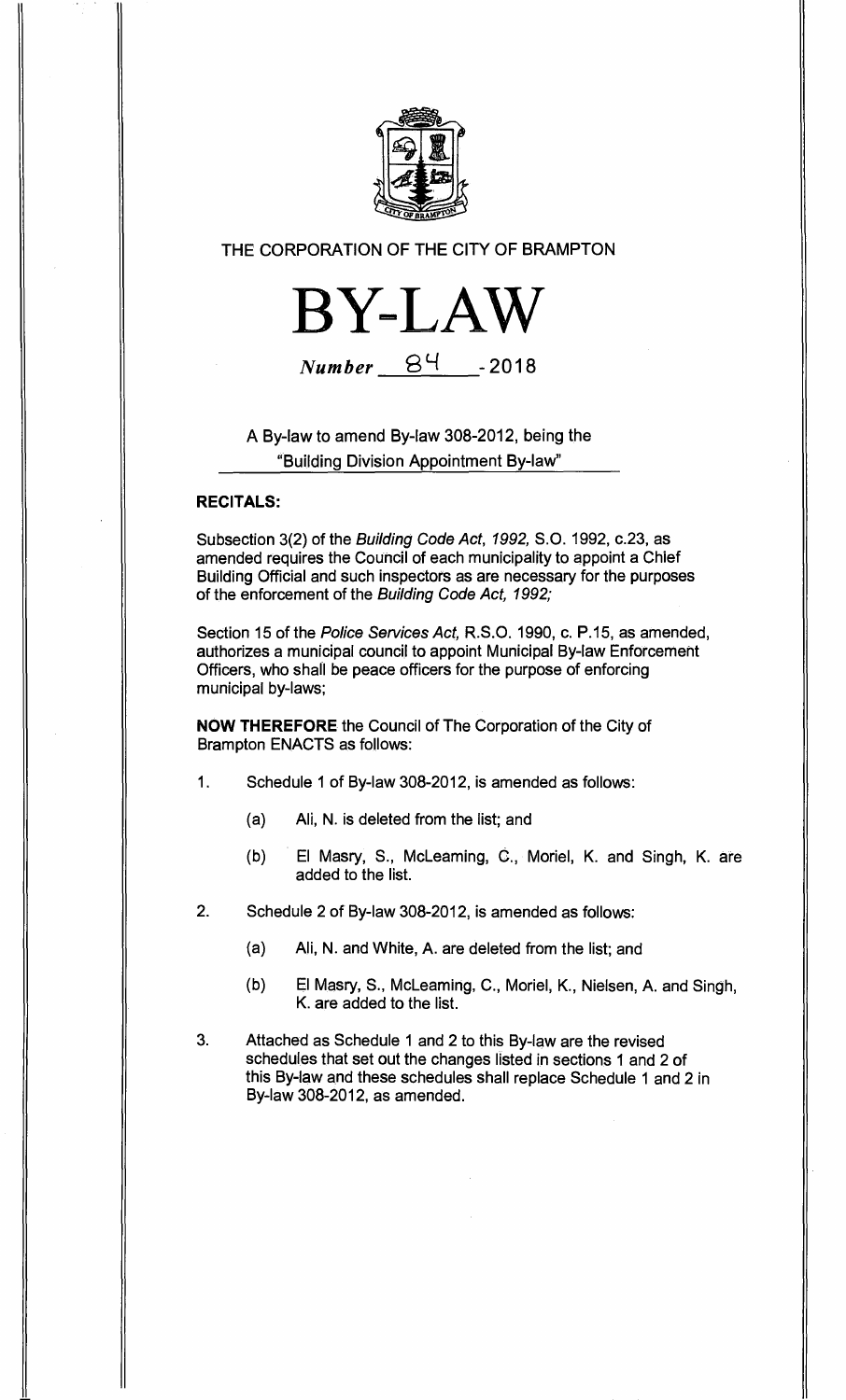

# **THE CORPORATION OF THE CITY OF BRAMPTON**



**Number**  $84$  -2018

**A By-law to amend By-law 308-2012, being the "Building Division Appointment By-law"** 

## **RECITALS:**

**Subsection 3(2) of the Building Code Act, 1992, S.O. 1992, c.23, as amended requires the Council of each municipality to appoint a Chief Building Official and such inspectors as are necessary for the purposes of the enforcement of the Building Code Act, 1992;** 

**Section 15 of the Police Services Act, R.S.O. 1990, c. P.15, as amended, authorizes a municipal council to appoint Municipal By-law Enforcement Officers, who shall be peace officers for the purpose of enforcing municipal by-laws;** 

**NOW THEREFORE the Council of The Corporation of the City of Brampton ENACTS as follows:** 

- **1. Schedule 1 of By-law 308-2012, is amended as follows:** 
	- **(a) Ali, N. is deleted from the list; and**
	- **(b) El Masry, S., McLeaming, C., Moriel, K. and Singh, K. are added to the list.**
- **2. Schedule 2 of By-law 308-2012, is amended as follows:** 
	- **(a) Ali, N. and White, A. are deleted from the list; and**
	- **(b) El Masry, S., McLeaming, C., Moriel, K., Nielsen, A. and Singh, K. are added to the list.**
- **3. Attached as Schedule 1 and 2 to this By-law are the revised schedules that set out the changes listed in sections 1 and 2 of this By-law and these schedules shall replace Schedule 1 and 2 in By-law 308-2012, as amended.**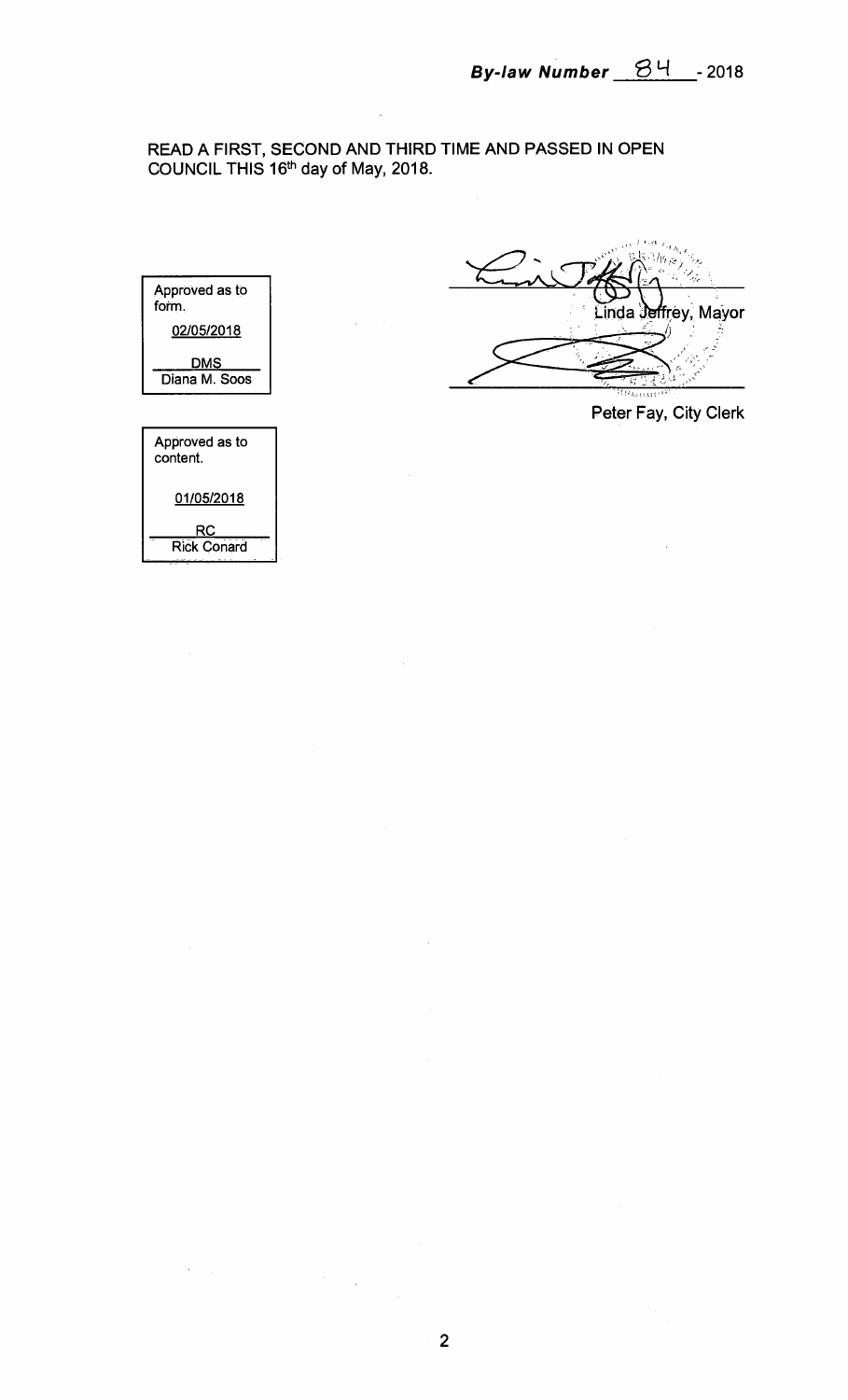# **READ A FIRST, SECOND AND THIRD TIME AND PASSED IN OPEN COUNCIL THIS 16th day of May, 2018.**



Linda Jeffrey, Mayor

**Peter Fay, City Clerk** 

 $\bar{z}$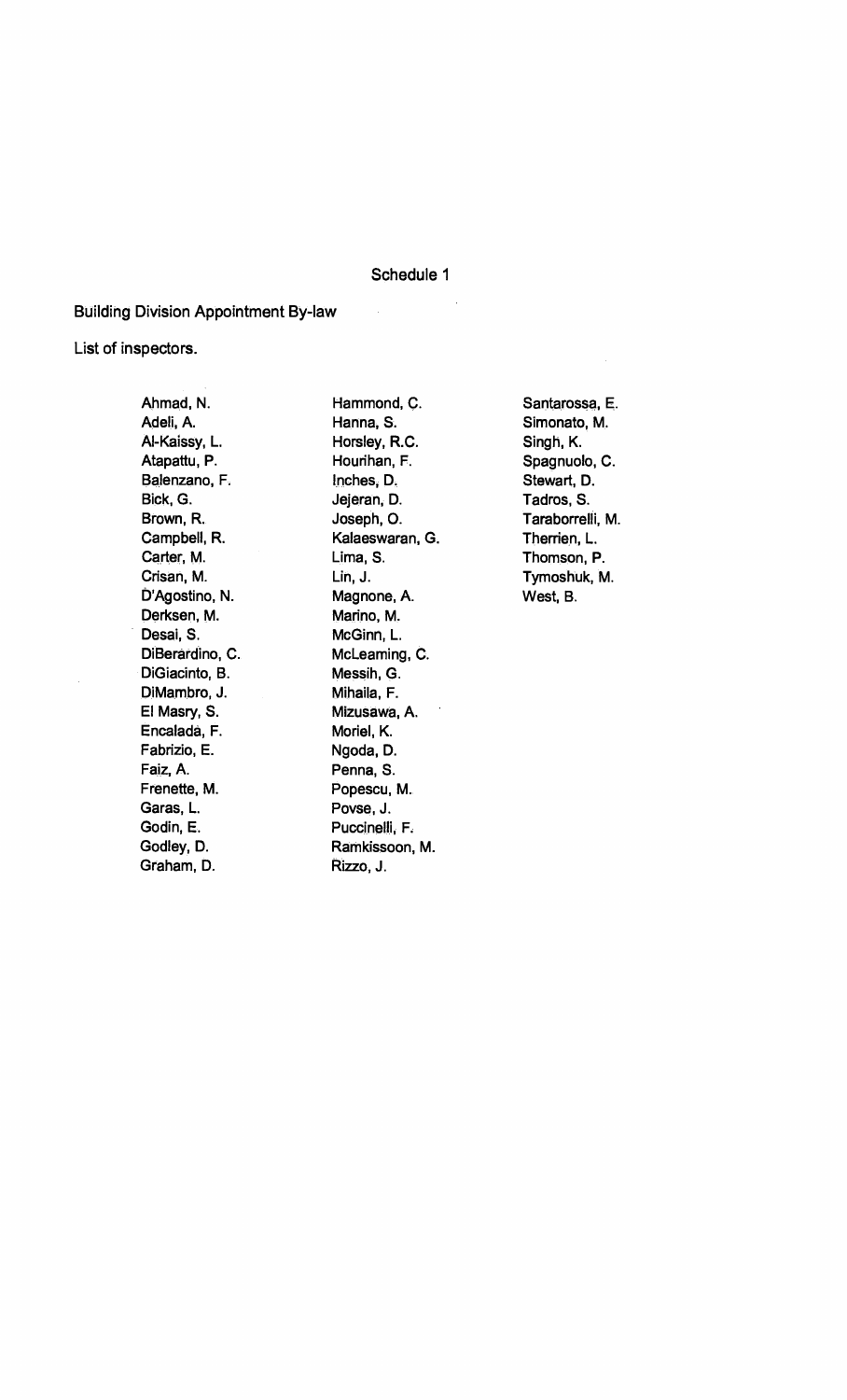### **Schedule 1**

 $\hat{\boldsymbol{\beta}}$ 

#### **Building Division Appointment By-law**

## **List of inspectors.**

**Ahmad, N. Adeli, A. Al-Kaissy, L. Atapattu, P. Balenzano, F. Bick, G. Brown, R. Campbell, R. Carter, M. Crisan, M. D'Agostino, N. Derksen, M. Desai, S. DiBerardino, C. DiGiacinto, B. DiMambro, J. El Masry, S. Encalada, F. Fabrizio, E. Faiz, A. Frenette, M. Garas, L. Godin, E. Godley, D. Graham, D.** 

**Hammond, C. Hanna, S. Horsley, R.C. Hourihan, F. Inches, D. Jejeran, D. Joseph, 0. Kalaeswaran, G. Lima, S. Lin, J. Magnone, A. Marino, M. McGinn, L. McLeaming, C. Messih, G. Mihaila, F. Mizusawa, A. Moriel, K. Ngoda, D. Penna, S. Popescu, M. Povse, J. F'uccinelli, F. Ramkissoon, M. Rizzo, J.** 

**Santarossa, E. Simonato, M. Singh, K. Spagnuolo, C. Stewart, D. Tadros, S. Taraborrelli, M. Therrien, L. Thomson, P. Tymoshuk, M. West, B.**